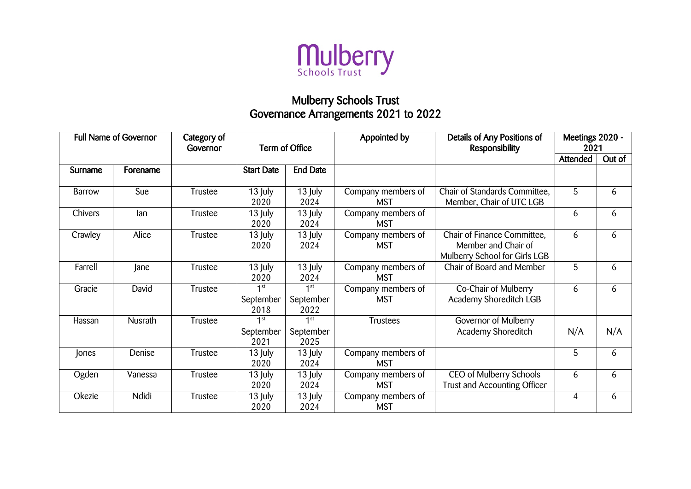

## Mulberry Schools Trust Governance Arrangements 2021 to 2022

| <b>Full Name of Governor</b> |                | Category of<br>Governor | Term of Office                       |                                      | Appointed by                     | Details of Any Positions of<br>Responsibility                                       | Meetings 2020 -<br>2021 |        |
|------------------------------|----------------|-------------------------|--------------------------------------|--------------------------------------|----------------------------------|-------------------------------------------------------------------------------------|-------------------------|--------|
|                              |                |                         |                                      |                                      |                                  |                                                                                     | Attended                | Out of |
| Surname                      | Forename       |                         | <b>Start Date</b>                    | <b>End Date</b>                      |                                  |                                                                                     |                         |        |
| <b>Barrow</b>                | Sue            | Trustee                 | 13 July<br>2020                      | 13 July<br>2024                      | Company members of<br><b>MST</b> | Chair of Standards Committee,<br>Member, Chair of UTC LGB                           | 5                       | 6      |
| Chivers                      | lan            | Trustee                 | 13 July<br>2020                      | 13 July<br>2024                      | Company members of<br><b>MST</b> |                                                                                     | 6                       | 6      |
| Crawley                      | Alice          | Trustee                 | 13 July<br>2020                      | 13 July<br>2024                      | Company members of<br><b>MST</b> | Chair of Finance Committee,<br>Member and Chair of<br>Mulberry School for Girls LGB | 6                       | 6      |
| Farrell                      | Jane           | Trustee                 | 13 July<br>2020                      | 13 July<br>2024                      | Company members of<br><b>MST</b> | Chair of Board and Member                                                           | 5                       | 6      |
| Gracie                       | David          | Trustee                 | 1 <sup>st</sup><br>September<br>2018 | 1 <sup>st</sup><br>September<br>2022 | Company members of<br><b>MST</b> | Co-Chair of Mulberry<br>Academy Shoreditch LGB                                      | 6                       | 6      |
| Hassan                       | <b>Nusrath</b> | Trustee                 | 1 <sup>st</sup><br>September<br>2021 | 1 <sup>st</sup><br>September<br>2025 | <b>Trustees</b>                  | Governor of Mulberry<br>Academy Shoreditch                                          | N/A                     | N/A    |
| Jones                        | Denise         | Trustee                 | 13 July<br>2020                      | 13 July<br>2024                      | Company members of<br><b>MST</b> |                                                                                     | 5                       | 6      |
| Ogden                        | Vanessa        | Trustee                 | 13 July<br>2020                      | 13 July<br>2024                      | Company members of<br><b>MST</b> | CEO of Mulberry Schools<br>Trust and Accounting Officer                             | 6                       | 6      |
| Okezie                       | Ndidi          | Trustee                 | 13 July<br>2020                      | 13 July<br>2024                      | Company members of<br><b>MST</b> |                                                                                     | 4                       | 6      |